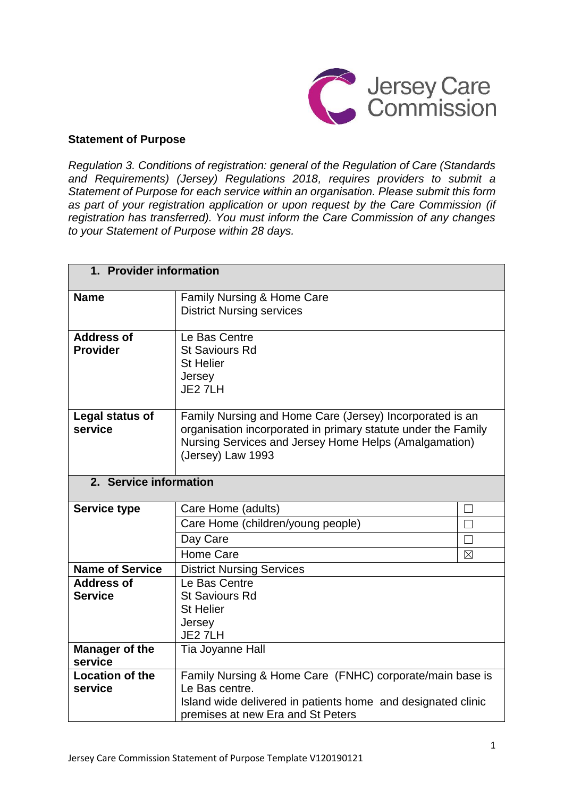

# **Statement of Purpose**

*Regulation 3. Conditions of registration: general of the Regulation of Care (Standards and Requirements) (Jersey) Regulations 2018, requires providers to submit a Statement of Purpose for each service within an organisation. Please submit this form as part of your registration application or upon request by the Care Commission (if registration has transferred). You must inform the Care Commission of any changes to your Statement of Purpose within 28 days.*

| 1. Provider information |                                                               |             |
|-------------------------|---------------------------------------------------------------|-------------|
| <b>Name</b>             | Family Nursing & Home Care                                    |             |
|                         | <b>District Nursing services</b>                              |             |
| <b>Address of</b>       | Le Bas Centre                                                 |             |
| <b>Provider</b>         | <b>St Saviours Rd</b>                                         |             |
|                         | <b>St Helier</b>                                              |             |
|                         | Jersey<br>JE2 7LH                                             |             |
|                         |                                                               |             |
| Legal status of         | Family Nursing and Home Care (Jersey) Incorporated is an      |             |
| service                 | organisation incorporated in primary statute under the Family |             |
|                         | Nursing Services and Jersey Home Helps (Amalgamation)         |             |
|                         | (Jersey) Law 1993                                             |             |
| 2. Service information  |                                                               |             |
|                         |                                                               |             |
| <b>Service type</b>     | Care Home (adults)                                            |             |
|                         | Care Home (children/young people)                             |             |
|                         | Day Care                                                      |             |
|                         | Home Care                                                     | $\boxtimes$ |
| <b>Name of Service</b>  | <b>District Nursing Services</b>                              |             |
| <b>Address of</b>       | Le Bas Centre                                                 |             |
| <b>Service</b>          | <b>St Saviours Rd</b>                                         |             |
|                         | <b>St Helier</b>                                              |             |
|                         | Jersey<br>JE2 7LH                                             |             |
| <b>Manager of the</b>   | Tia Joyanne Hall                                              |             |
| service                 |                                                               |             |
| Location of the         | Family Nursing & Home Care (FNHC) corporate/main base is      |             |
| service                 | Le Bas centre.                                                |             |
|                         | Island wide delivered in patients home and designated clinic  |             |
|                         | premises at new Era and St Peters                             |             |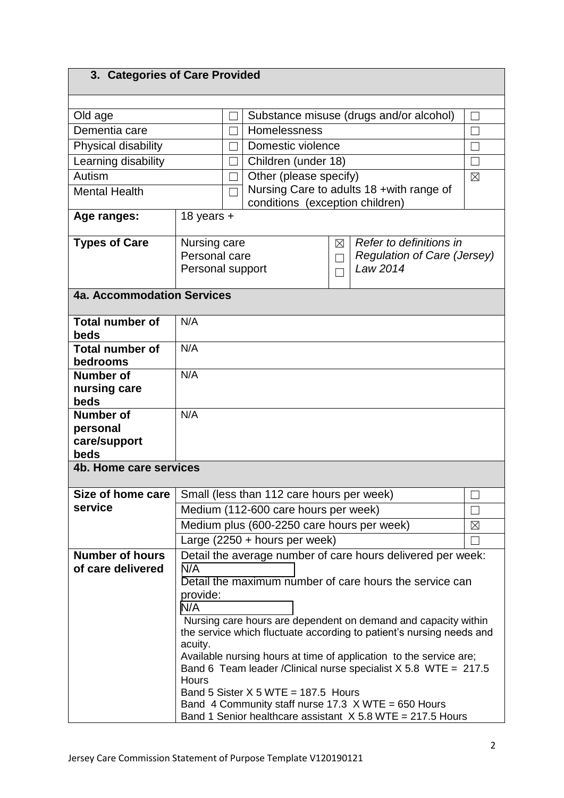# **3. Categories of Care Provided**

| Old age                            | Substance misuse (drugs and/or alcohol)                                                                                                                                                                                                                                | $\overline{\phantom{0}}$ |
|------------------------------------|------------------------------------------------------------------------------------------------------------------------------------------------------------------------------------------------------------------------------------------------------------------------|--------------------------|
| Dementia care                      | Homelessness                                                                                                                                                                                                                                                           |                          |
| Physical disability                | Domestic violence                                                                                                                                                                                                                                                      |                          |
| Learning disability                | Children (under 18)                                                                                                                                                                                                                                                    | $\Box$                   |
| Autism                             | Other (please specify)                                                                                                                                                                                                                                                 | $\boxtimes$              |
| <b>Mental Health</b>               | Nursing Care to adults 18 + with range of                                                                                                                                                                                                                              |                          |
|                                    | conditions (exception children)                                                                                                                                                                                                                                        |                          |
| Age ranges:                        | 18 years $+$                                                                                                                                                                                                                                                           |                          |
| <b>Types of Care</b>               | Refer to definitions in<br>Nursing care<br>⊠                                                                                                                                                                                                                           |                          |
|                                    | Personal care<br><b>Regulation of Care (Jersey)</b><br>$\overline{\phantom{0}}$                                                                                                                                                                                        |                          |
|                                    | Law 2014<br>Personal support                                                                                                                                                                                                                                           |                          |
|                                    |                                                                                                                                                                                                                                                                        |                          |
| <b>4a. Accommodation Services</b>  |                                                                                                                                                                                                                                                                        |                          |
|                                    |                                                                                                                                                                                                                                                                        |                          |
| <b>Total number of</b>             | N/A                                                                                                                                                                                                                                                                    |                          |
| beds                               |                                                                                                                                                                                                                                                                        |                          |
| <b>Total number of</b><br>bedrooms | N/A                                                                                                                                                                                                                                                                    |                          |
| <b>Number of</b>                   | N/A                                                                                                                                                                                                                                                                    |                          |
| nursing care                       |                                                                                                                                                                                                                                                                        |                          |
| beds                               |                                                                                                                                                                                                                                                                        |                          |
| <b>Number of</b>                   | N/A                                                                                                                                                                                                                                                                    |                          |
| personal                           |                                                                                                                                                                                                                                                                        |                          |
| care/support                       |                                                                                                                                                                                                                                                                        |                          |
| beds                               |                                                                                                                                                                                                                                                                        |                          |
| 4b. Home care services             |                                                                                                                                                                                                                                                                        |                          |
| Size of home care                  | Small (less than 112 care hours per week)                                                                                                                                                                                                                              |                          |
| service                            | Medium (112-600 care hours per week)                                                                                                                                                                                                                                   | $\Box$                   |
|                                    | Medium plus (600-2250 care hours per week)                                                                                                                                                                                                                             | $\boxtimes$              |
|                                    | Large $(2250 + hours per week)$                                                                                                                                                                                                                                        |                          |
| <b>Number of hours</b>             | Detail the average number of care hours delivered per week:                                                                                                                                                                                                            |                          |
| of care delivered                  | N/A                                                                                                                                                                                                                                                                    |                          |
|                                    | Detail the maximum number of care hours the service can                                                                                                                                                                                                                |                          |
|                                    | provide:                                                                                                                                                                                                                                                               |                          |
|                                    | N/A                                                                                                                                                                                                                                                                    |                          |
|                                    | Nursing care hours are dependent on demand and capacity within                                                                                                                                                                                                         |                          |
|                                    |                                                                                                                                                                                                                                                                        |                          |
|                                    | Available nursing hours at time of application to the service are;                                                                                                                                                                                                     |                          |
|                                    | Band 6 Team leader / Clinical nurse specialist $X$ 5.8 WTE = 217.5                                                                                                                                                                                                     |                          |
|                                    |                                                                                                                                                                                                                                                                        |                          |
|                                    |                                                                                                                                                                                                                                                                        |                          |
|                                    |                                                                                                                                                                                                                                                                        |                          |
|                                    | the service which fluctuate according to patient's nursing needs and<br>acuity.<br><b>Hours</b><br>Band 5 Sister $X$ 5 WTE = 187.5 Hours<br>Band 4 Community staff nurse 17.3 $\times$ WTE = 650 Hours<br>Band 1 Senior healthcare assistant $X$ 5.8 WTE = 217.5 Hours |                          |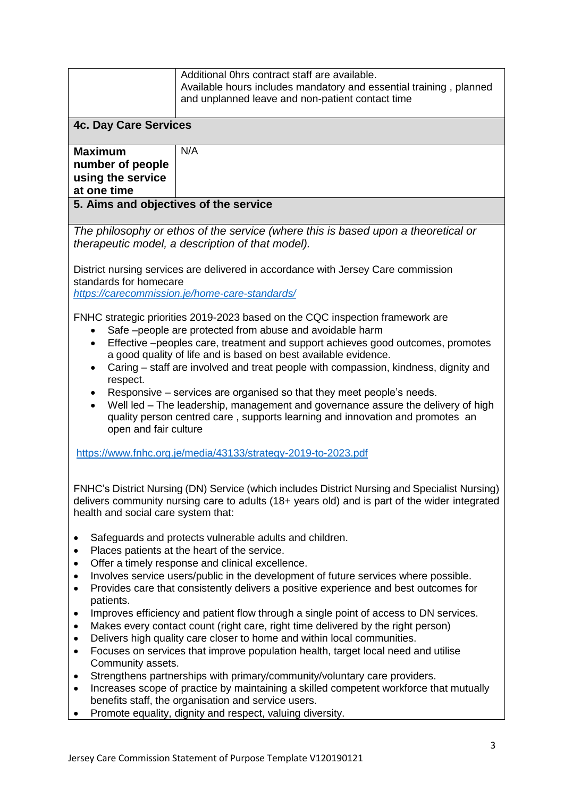|                                                                                                                                                                                                                                                                                                                                                                                                                                                                                                                                                                                                                                                                                                                                                                                                                                                                                                                                                                                                                                                                              | Additional Ohrs contract staff are available.<br>Available hours includes mandatory and essential training, planned<br>and unplanned leave and non-patient contact time |
|------------------------------------------------------------------------------------------------------------------------------------------------------------------------------------------------------------------------------------------------------------------------------------------------------------------------------------------------------------------------------------------------------------------------------------------------------------------------------------------------------------------------------------------------------------------------------------------------------------------------------------------------------------------------------------------------------------------------------------------------------------------------------------------------------------------------------------------------------------------------------------------------------------------------------------------------------------------------------------------------------------------------------------------------------------------------------|-------------------------------------------------------------------------------------------------------------------------------------------------------------------------|
| <b>4c. Day Care Services</b>                                                                                                                                                                                                                                                                                                                                                                                                                                                                                                                                                                                                                                                                                                                                                                                                                                                                                                                                                                                                                                                 |                                                                                                                                                                         |
| <b>Maximum</b><br>number of people<br>using the service<br>at one time                                                                                                                                                                                                                                                                                                                                                                                                                                                                                                                                                                                                                                                                                                                                                                                                                                                                                                                                                                                                       | N/A                                                                                                                                                                     |
| 5. Aims and objectives of the service                                                                                                                                                                                                                                                                                                                                                                                                                                                                                                                                                                                                                                                                                                                                                                                                                                                                                                                                                                                                                                        |                                                                                                                                                                         |
|                                                                                                                                                                                                                                                                                                                                                                                                                                                                                                                                                                                                                                                                                                                                                                                                                                                                                                                                                                                                                                                                              | The philosophy or ethos of the service (where this is based upon a theoretical or<br>therapeutic model, a description of that model).                                   |
| District nursing services are delivered in accordance with Jersey Care commission<br>standards for homecare<br>https://carecommission.je/home-care-standards/                                                                                                                                                                                                                                                                                                                                                                                                                                                                                                                                                                                                                                                                                                                                                                                                                                                                                                                |                                                                                                                                                                         |
| FNHC strategic priorities 2019-2023 based on the CQC inspection framework are<br>Safe -people are protected from abuse and avoidable harm<br>Effective -peoples care, treatment and support achieves good outcomes, promotes<br>a good quality of life and is based on best available evidence.<br>Caring – staff are involved and treat people with compassion, kindness, dignity and<br>respect.<br>Responsive – services are organised so that they meet people's needs.<br>Well led - The leadership, management and governance assure the delivery of high<br>quality person centred care, supports learning and innovation and promotes an<br>open and fair culture                                                                                                                                                                                                                                                                                                                                                                                                    |                                                                                                                                                                         |
|                                                                                                                                                                                                                                                                                                                                                                                                                                                                                                                                                                                                                                                                                                                                                                                                                                                                                                                                                                                                                                                                              | https://www.fnhc.org.je/media/43133/strategy-2019-to-2023.pdf                                                                                                           |
| FNHC's District Nursing (DN) Service (which includes District Nursing and Specialist Nursing)<br>delivers community nursing care to adults (18+ years old) and is part of the wider integrated<br>health and social care system that:                                                                                                                                                                                                                                                                                                                                                                                                                                                                                                                                                                                                                                                                                                                                                                                                                                        |                                                                                                                                                                         |
| Safeguards and protects vulnerable adults and children.<br>٠<br>Places patients at the heart of the service.<br>٠<br>Offer a timely response and clinical excellence.<br>Involves service users/public in the development of future services where possible.<br>Provides care that consistently delivers a positive experience and best outcomes for<br>$\bullet$<br>patients.<br>Improves efficiency and patient flow through a single point of access to DN services.<br>٠<br>Makes every contact count (right care, right time delivered by the right person)<br>٠<br>Delivers high quality care closer to home and within local communities.<br>٠<br>Focuses on services that improve population health, target local need and utilise<br>$\bullet$<br>Community assets.<br>Strengthens partnerships with primary/community/voluntary care providers.<br>٠<br>Increases scope of practice by maintaining a skilled competent workforce that mutually<br>benefits staff, the organisation and service users.<br>Promote equality, dignity and respect, valuing diversity. |                                                                                                                                                                         |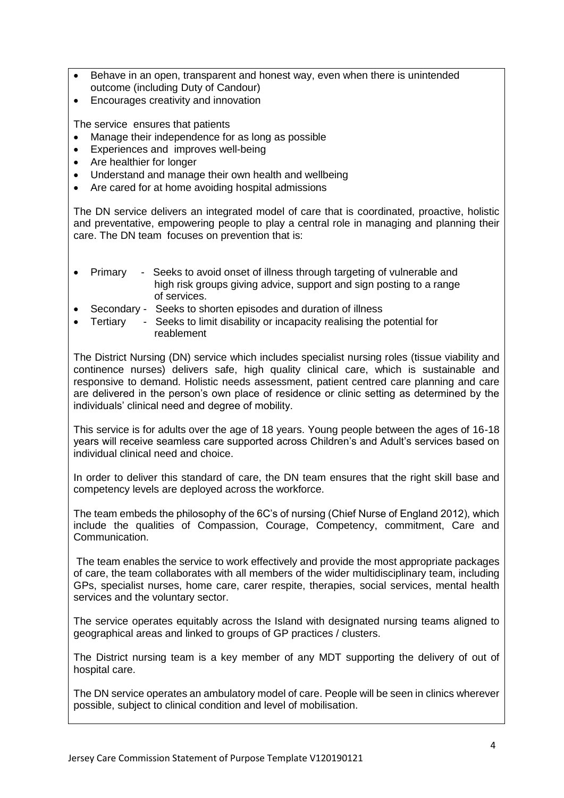- Behave in an open, transparent and honest way, even when there is unintended outcome (including Duty of Candour)
- Encourages creativity and innovation

The service ensures that patients

- Manage their independence for as long as possible
- Experiences and improves well-being
- Are healthier for longer
- Understand and manage their own health and wellbeing
- Are cared for at home avoiding hospital admissions

The DN service delivers an integrated model of care that is coordinated, proactive, holistic and preventative, empowering people to play a central role in managing and planning their care. The DN team focuses on prevention that is:

- Primary Seeks to avoid onset of illness through targeting of vulnerable and high risk groups giving advice, support and sign posting to a range of services.
- Secondary Seeks to shorten episodes and duration of illness
- Tertiary Seeks to limit disability or incapacity realising the potential for reablement

The District Nursing (DN) service which includes specialist nursing roles (tissue viability and continence nurses) delivers safe, high quality clinical care, which is sustainable and responsive to demand. Holistic needs assessment, patient centred care planning and care are delivered in the person's own place of residence or clinic setting as determined by the individuals' clinical need and degree of mobility.

This service is for adults over the age of 18 years. Young people between the ages of 16-18 years will receive seamless care supported across Children's and Adult's services based on individual clinical need and choice.

In order to deliver this standard of care, the DN team ensures that the right skill base and competency levels are deployed across the workforce.

The team embeds the philosophy of the 6C's of nursing (Chief Nurse of England 2012), which include the qualities of Compassion, Courage, Competency, commitment, Care and Communication.

The team enables the service to work effectively and provide the most appropriate packages of care, the team collaborates with all members of the wider multidisciplinary team, including GPs, specialist nurses, home care, carer respite, therapies, social services, mental health services and the voluntary sector.

The service operates equitably across the Island with designated nursing teams aligned to geographical areas and linked to groups of GP practices / clusters.

The District nursing team is a key member of any MDT supporting the delivery of out of hospital care.

The DN service operates an ambulatory model of care. People will be seen in clinics wherever possible, subject to clinical condition and level of mobilisation.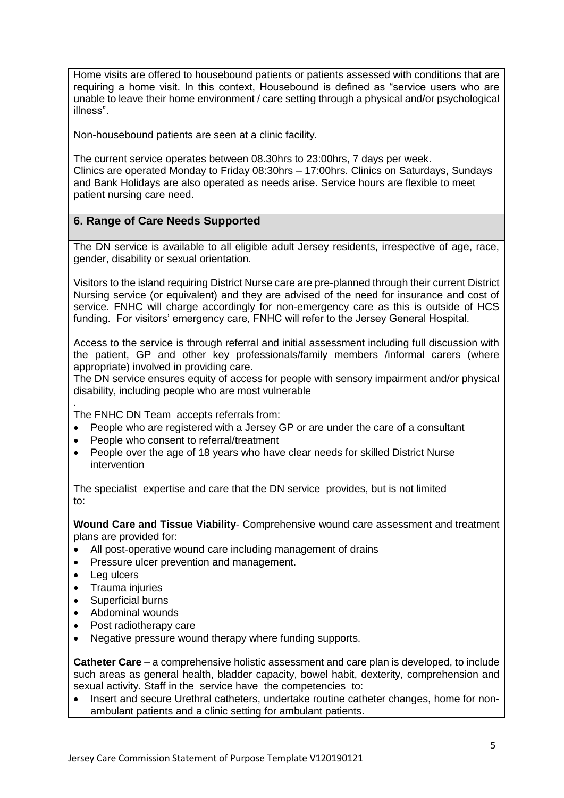Home visits are offered to housebound patients or patients assessed with conditions that are requiring a home visit. In this context, Housebound is defined as "service users who are unable to leave their home environment / care setting through a physical and/or psychological illness".

Non-housebound patients are seen at a clinic facility.

The current service operates between 08.30hrs to 23:00hrs, 7 days per week. Clinics are operated Monday to Friday 08:30hrs – 17:00hrs. Clinics on Saturdays, Sundays and Bank Holidays are also operated as needs arise. Service hours are flexible to meet patient nursing care need.

# **6. Range of Care Needs Supported**

The DN service is available to all eligible adult Jersey residents, irrespective of age, race, gender, disability or sexual orientation.

Visitors to the island requiring District Nurse care are pre-planned through their current District Nursing service (or equivalent) and they are advised of the need for insurance and cost of service. FNHC will charge accordingly for non-emergency care as this is outside of HCS funding. For visitors' emergency care, FNHC will refer to the Jersey General Hospital.

Access to the service is through referral and initial assessment including full discussion with the patient, GP and other key professionals/family members /informal carers (where appropriate) involved in providing care.

The DN service ensures equity of access for people with sensory impairment and/or physical disability, including people who are most vulnerable

. The FNHC DN Team accepts referrals from:

- People who are registered with a Jersey GP or are under the care of a consultant
- People who consent to referral/treatment
- People over the age of 18 years who have clear needs for skilled District Nurse intervention

The specialist expertise and care that the DN service provides, but is not limited to:

**Wound Care and Tissue Viability**- Comprehensive wound care assessment and treatment plans are provided for:

- All post-operative wound care including management of drains
- Pressure ulcer prevention and management.
- Leg ulcers
- Trauma injuries
- Superficial burns
- Abdominal wounds
- Post radiotherapy care
- Negative pressure wound therapy where funding supports.

**Catheter Care** – a comprehensive holistic assessment and care plan is developed, to include such areas as general health, bladder capacity, bowel habit, dexterity, comprehension and sexual activity. Staff in the service have the competencies to:

• Insert and secure Urethral catheters, undertake routine catheter changes, home for nonambulant patients and a clinic setting for ambulant patients.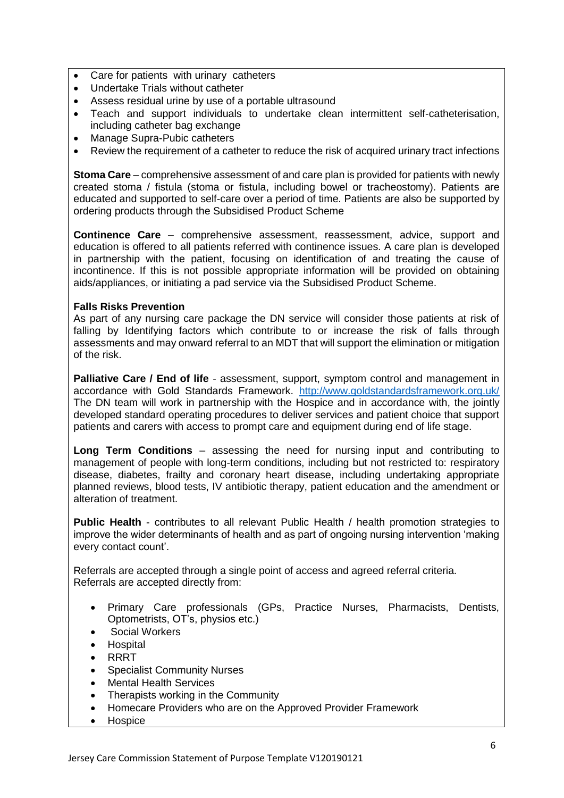- Care for patients with urinary catheters
- Undertake Trials without catheter
- Assess residual urine by use of a portable ultrasound
- Teach and support individuals to undertake clean intermittent self-catheterisation, including catheter bag exchange
- Manage Supra-Pubic catheters
- Review the requirement of a catheter to reduce the risk of acquired urinary tract infections

**Stoma Care** – comprehensive assessment of and care plan is provided for patients with newly created stoma / fistula (stoma or fistula, including bowel or tracheostomy). Patients are educated and supported to self-care over a period of time. Patients are also be supported by ordering products through the Subsidised Product Scheme

**Continence Care** – comprehensive assessment, reassessment, advice, support and education is offered to all patients referred with continence issues. A care plan is developed in partnership with the patient, focusing on identification of and treating the cause of incontinence. If this is not possible appropriate information will be provided on obtaining aids/appliances, or initiating a pad service via the Subsidised Product Scheme.

# **Falls Risks Prevention**

As part of any nursing care package the DN service will consider those patients at risk of falling by Identifying factors which contribute to or increase the risk of falls through assessments and may onward referral to an MDT that will support the elimination or mitigation of the risk.

**Palliative Care / End of life** - assessment, support, symptom control and management in accordance with Gold Standards Framework. <http://www.goldstandardsframework.org.uk/> The DN team will work in partnership with the Hospice and in accordance with, the jointly developed standard operating procedures to deliver services and patient choice that support patients and carers with access to prompt care and equipment during end of life stage.

**Long Term Conditions** – assessing the need for nursing input and contributing to management of people with long-term conditions, including but not restricted to: respiratory disease, diabetes, frailty and coronary heart disease, including undertaking appropriate planned reviews, blood tests, IV antibiotic therapy, patient education and the amendment or alteration of treatment.

**Public Health** - contributes to all relevant Public Health / health promotion strategies to improve the wider determinants of health and as part of ongoing nursing intervention 'making every contact count'.

Referrals are accepted through a single point of access and agreed referral criteria. Referrals are accepted directly from:

- Primary Care professionals (GPs, Practice Nurses, Pharmacists, Dentists, Optometrists, OT's, physios etc.)
- Social Workers
- Hospital
- **RRRT**
- Specialist Community Nurses
- Mental Health Services
- Therapists working in the Community
- Homecare Providers who are on the Approved Provider Framework
- Hospice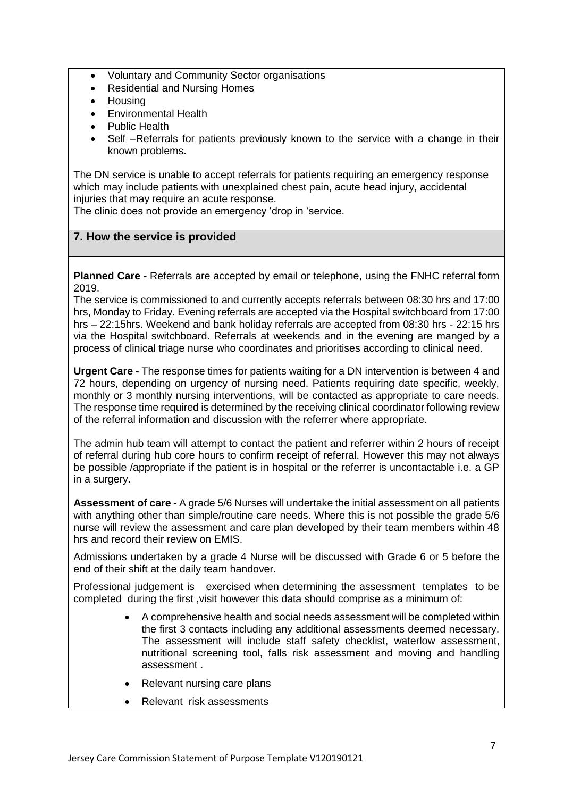- Voluntary and Community Sector organisations
- Residential and Nursing Homes
- Housing
- Environmental Health
- Public Health
- Self –Referrals for patients previously known to the service with a change in their known problems.

The DN service is unable to accept referrals for patients requiring an emergency response which may include patients with unexplained chest pain, acute head injury, accidental injuries that may require an acute response.

The clinic does not provide an emergency 'drop in 'service.

# **7. How the service is provided**

**Planned Care -** Referrals are accepted by email or telephone, using the FNHC referral form 2019.

The service is commissioned to and currently accepts referrals between 08:30 hrs and 17:00 hrs, Monday to Friday. Evening referrals are accepted via the Hospital switchboard from 17:00 hrs – 22:15hrs. Weekend and bank holiday referrals are accepted from 08:30 hrs - 22:15 hrs via the Hospital switchboard. Referrals at weekends and in the evening are manged by a process of clinical triage nurse who coordinates and prioritises according to clinical need.

**Urgent Care -** The response times for patients waiting for a DN intervention is between 4 and 72 hours, depending on urgency of nursing need. Patients requiring date specific, weekly, monthly or 3 monthly nursing interventions, will be contacted as appropriate to care needs. The response time required is determined by the receiving clinical coordinator following review of the referral information and discussion with the referrer where appropriate.

The admin hub team will attempt to contact the patient and referrer within 2 hours of receipt of referral during hub core hours to confirm receipt of referral. However this may not always be possible /appropriate if the patient is in hospital or the referrer is uncontactable i.e. a GP in a surgery.

**Assessment of care** - A grade 5/6 Nurses will undertake the initial assessment on all patients with anything other than simple/routine care needs. Where this is not possible the grade 5/6 nurse will review the assessment and care plan developed by their team members within 48 hrs and record their review on EMIS.

Admissions undertaken by a grade 4 Nurse will be discussed with Grade 6 or 5 before the end of their shift at the daily team handover.

Professional judgement is exercised when determining the assessment templates to be completed during the first ,visit however this data should comprise as a minimum of:

- A comprehensive health and social needs assessment will be completed within the first 3 contacts including any additional assessments deemed necessary. The assessment will include staff safety checklist, waterlow assessment, nutritional screening tool, falls risk assessment and moving and handling assessment .
- Relevant nursing care plans
- Relevant risk assessments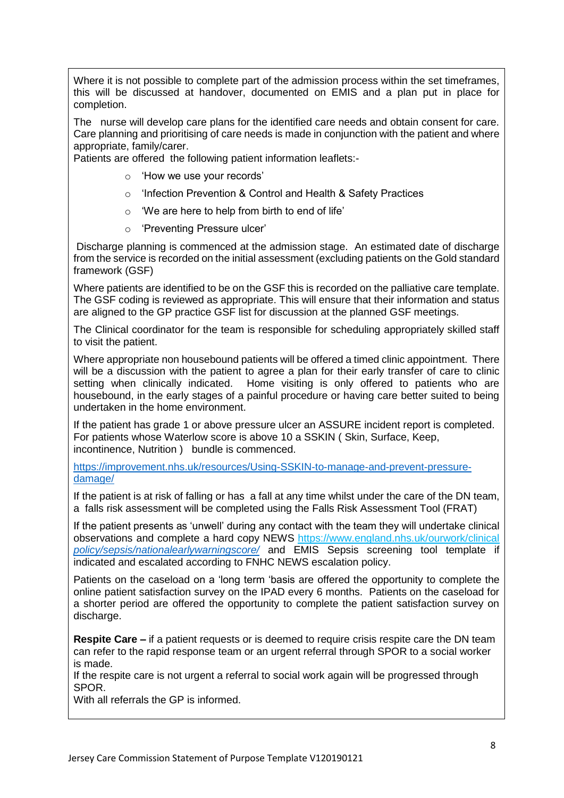Where it is not possible to complete part of the admission process within the set timeframes, this will be discussed at handover, documented on EMIS and a plan put in place for completion.

The nurse will develop care plans for the identified care needs and obtain consent for care. Care planning and prioritising of care needs is made in conjunction with the patient and where appropriate, family/carer.

Patients are offered the following patient information leaflets:-

- o 'How we use your records'
- o 'Infection Prevention & Control and Health & Safety Practices
- $\circ$  'We are here to help from birth to end of life'
- o 'Preventing Pressure ulcer'

Discharge planning is commenced at the admission stage. An estimated date of discharge from the service is recorded on the initial assessment (excluding patients on the Gold standard framework (GSF)

Where patients are identified to be on the GSF this is recorded on the palliative care template. The GSF coding is reviewed as appropriate. This will ensure that their information and status are aligned to the GP practice GSF list for discussion at the planned GSF meetings.

The Clinical coordinator for the team is responsible for scheduling appropriately skilled staff to visit the patient.

Where appropriate non housebound patients will be offered a timed clinic appointment. There will be a discussion with the patient to agree a plan for their early transfer of care to clinic setting when clinically indicated. Home visiting is only offered to patients who are housebound, in the early stages of a painful procedure or having care better suited to being undertaken in the home environment.

If the patient has grade 1 or above pressure ulcer an ASSURE incident report is completed. For patients whose Waterlow score is above 10 a SSKIN ( Skin, Surface, Keep, incontinence, Nutrition ) bundle is commenced.

[https://improvement.nhs.uk/resources/Using-SSKIN-to-manage-and-prevent-pressure](https://improvement.nhs.uk/resources/Using-SSKIN-to-manage-and-prevent-pressure-damage/)[damage/](https://improvement.nhs.uk/resources/Using-SSKIN-to-manage-and-prevent-pressure-damage/)

If the patient is at risk of falling or has a fall at any time whilst under the care of the DN team, a falls risk assessment will be completed using the Falls Risk Assessment Tool (FRAT)

If the patient presents as 'unwell' during any contact with the team they will undertake clinical observations and complete a hard copy NEWS<https://www.england.nhs.uk/ourwork/clinical> *[policy/sepsis/nationalearlywarningscore/](file:///C:/Users/hallti/AppData/Local/Microsoft/Windows/INetCache/Content.Outlook/J0NEQVFG/policy/sepsis/nationalearlywarningscore/)* and EMIS Sepsis screening tool template if indicated and escalated according to FNHC NEWS escalation policy.

Patients on the caseload on a 'long term 'basis are offered the opportunity to complete the online patient satisfaction survey on the IPAD every 6 months. Patients on the caseload for a shorter period are offered the opportunity to complete the patient satisfaction survey on discharge.

**Respite Care –** if a patient requests or is deemed to require crisis respite care the DN team can refer to the rapid response team or an urgent referral through SPOR to a social worker is made.

If the respite care is not urgent a referral to social work again will be progressed through SPOR.

With all referrals the GP is informed.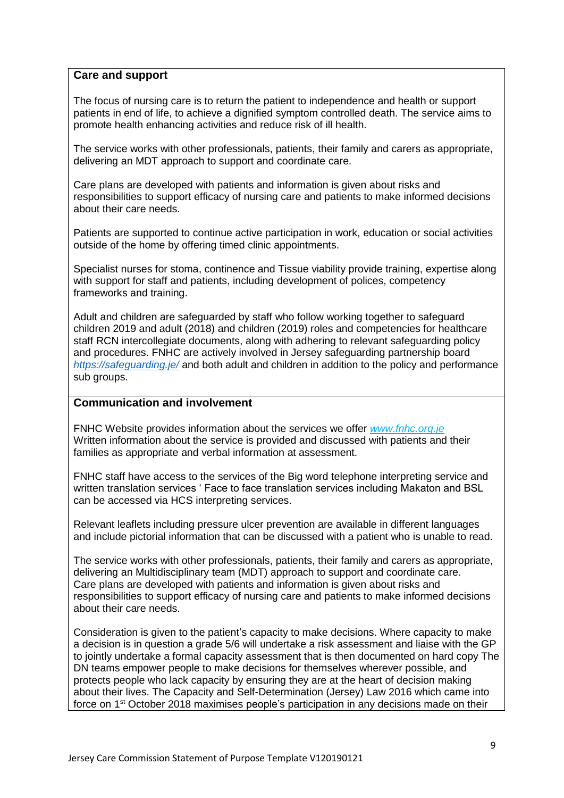## **Care and support**

The focus of nursing care is to return the patient to independence and health or support patients in end of life, to achieve a dignified symptom controlled death. The service aims to promote health enhancing activities and reduce risk of ill health.

The service works with other professionals, patients, their family and carers as appropriate, delivering an MDT approach to support and coordinate care.

Care plans are developed with patients and information is given about risks and responsibilities to support efficacy of nursing care and patients to make informed decisions about their care needs.

Patients are supported to continue active participation in work, education or social activities outside of the home by offering timed clinic appointments.

Specialist nurses for stoma, continence and Tissue viability provide training, expertise along with support for staff and patients, including development of polices, competency frameworks and training.

Adult and children are safeguarded by staff who follow working together to safeguard children 2019 and adult (2018) and children (2019) roles and competencies for healthcare staff RCN intercollegiate documents, along with adhering to relevant safeguarding policy and procedures. FNHC are actively involved in Jersey safeguarding partnership board *<https://safeguarding.je/>* and both adult and children in addition to the policy and performance sub groups.

#### **Communication and involvement**

FNHC Website provides information about the services we offer *[www.fnhc.org.je](http://www.fnhc.org.je/)* Written information about the service is provided and discussed with patients and their families as appropriate and verbal information at assessment.

FNHC staff have access to the services of the Big word telephone interpreting service and written translation services ' Face to face translation services including Makaton and BSL can be accessed via HCS interpreting services.

Relevant leaflets including pressure ulcer prevention are available in different languages and include pictorial information that can be discussed with a patient who is unable to read.

The service works with other professionals, patients, their family and carers as appropriate, delivering an Multidisciplinary team (MDT) approach to support and coordinate care. Care plans are developed with patients and information is given about risks and responsibilities to support efficacy of nursing care and patients to make informed decisions about their care needs.

Consideration is given to the patient's capacity to make decisions. Where capacity to make a decision is in question a grade 5/6 will undertake a risk assessment and liaise with the GP to jointly undertake a formal capacity assessment that is then documented on hard copy The DN teams empower people to make decisions for themselves wherever possible, and protects people who lack capacity by ensuring they are at the heart of decision making about their lives. The Capacity and Self-Determination (Jersey) Law 2016 which came into force on 1st October 2018 maximises people's participation in any decisions made on their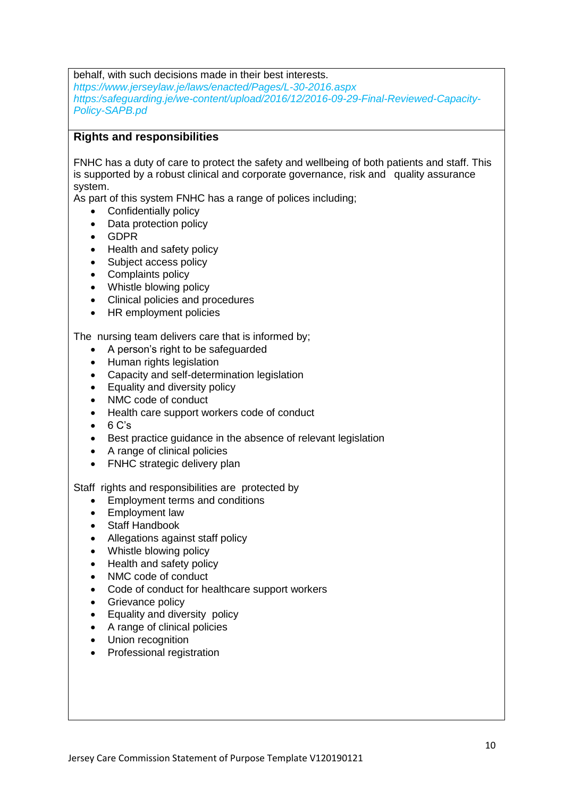behalf, with such decisions made in their best interests.

*https://www.jerseylaw.je/laws/enacted/Pages/L-30-2016.aspx https:/safeguarding.je/we-content/upload/2016/12/2016-09-29-Final-Reviewed-Capacity-Policy-SAPB.pd*

#### **Rights and responsibilities**

FNHC has a duty of care to protect the safety and wellbeing of both patients and staff. This is supported by a robust clinical and corporate governance, risk and quality assurance system.

As part of this system FNHC has a range of polices including;

- Confidentially policy
- Data protection policy
- GDPR
- Health and safety policy
- Subject access policy
- Complaints policy
- Whistle blowing policy
- Clinical policies and procedures
- HR employment policies

The nursing team delivers care that is informed by;

- A person's right to be safeguarded
- Human rights legislation
- Capacity and self-determination legislation
- Equality and diversity policy
- NMC code of conduct
- Health care support workers code of conduct
- $\bullet$  6 C's
- Best practice quidance in the absence of relevant legislation
- A range of clinical policies
- FNHC strategic delivery plan

Staff rights and responsibilities are protected by

- Employment terms and conditions
- Employment law
- Staff Handbook
- Allegations against staff policy
- Whistle blowing policy
- Health and safety policy
- NMC code of conduct
- Code of conduct for healthcare support workers
- Grievance policy
- Equality and diversity policy
- A range of clinical policies
- Union recognition
- Professional registration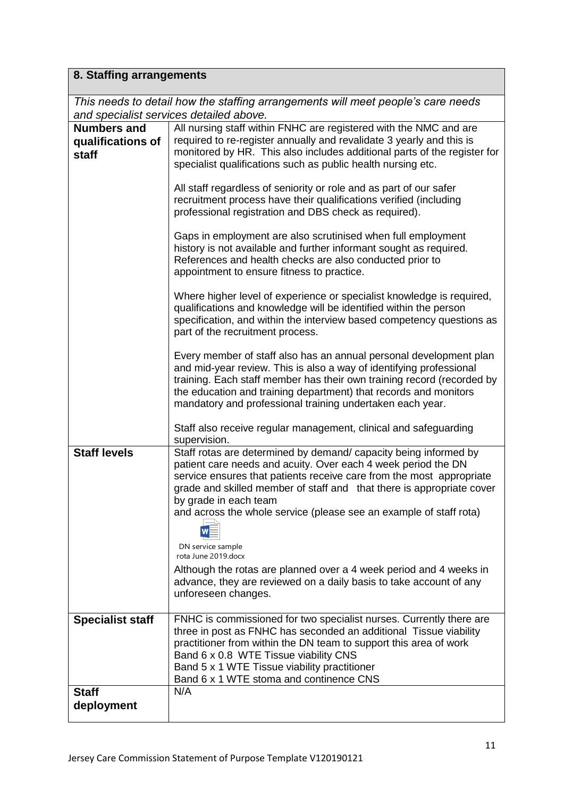# **8. Staffing arrangements**

|                                                         | This needs to detail how the staffing arrangements will meet people's care needs<br>and specialist services detailed above.                                                                                                                                                                                                                                                                                                                                                                                                                                                                      |
|---------------------------------------------------------|--------------------------------------------------------------------------------------------------------------------------------------------------------------------------------------------------------------------------------------------------------------------------------------------------------------------------------------------------------------------------------------------------------------------------------------------------------------------------------------------------------------------------------------------------------------------------------------------------|
| <b>Numbers and</b><br>qualifications of<br><b>staff</b> | All nursing staff within FNHC are registered with the NMC and are<br>required to re-register annually and revalidate 3 yearly and this is<br>monitored by HR. This also includes additional parts of the register for<br>specialist qualifications such as public health nursing etc.<br>All staff regardless of seniority or role and as part of our safer<br>recruitment process have their qualifications verified (including                                                                                                                                                                 |
|                                                         | professional registration and DBS check as required).<br>Gaps in employment are also scrutinised when full employment<br>history is not available and further informant sought as required.<br>References and health checks are also conducted prior to<br>appointment to ensure fitness to practice.                                                                                                                                                                                                                                                                                            |
|                                                         | Where higher level of experience or specialist knowledge is required,<br>qualifications and knowledge will be identified within the person<br>specification, and within the interview based competency questions as<br>part of the recruitment process.                                                                                                                                                                                                                                                                                                                                          |
|                                                         | Every member of staff also has an annual personal development plan<br>and mid-year review. This is also a way of identifying professional<br>training. Each staff member has their own training record (recorded by<br>the education and training department) that records and monitors<br>mandatory and professional training undertaken each year.<br>Staff also receive regular management, clinical and safeguarding<br>supervision.                                                                                                                                                         |
| <b>Staff levels</b>                                     | Staff rotas are determined by demand/ capacity being informed by<br>patient care needs and acuity. Over each 4 week period the DN<br>service ensures that patients receive care from the most appropriate<br>grade and skilled member of staff and that there is appropriate cover<br>by grade in each team<br>and across the whole service (please see an example of staff rota)<br>DN service sample<br>rota June 2019.docx<br>Although the rotas are planned over a 4 week period and 4 weeks in<br>advance, they are reviewed on a daily basis to take account of any<br>unforeseen changes. |
| <b>Specialist staff</b>                                 | FNHC is commissioned for two specialist nurses. Currently there are<br>three in post as FNHC has seconded an additional Tissue viability<br>practitioner from within the DN team to support this area of work<br>Band 6 x 0.8 WTE Tissue viability CNS<br>Band 5 x 1 WTE Tissue viability practitioner<br>Band 6 x 1 WTE stoma and continence CNS                                                                                                                                                                                                                                                |
| <b>Staff</b><br>deployment                              | N/A                                                                                                                                                                                                                                                                                                                                                                                                                                                                                                                                                                                              |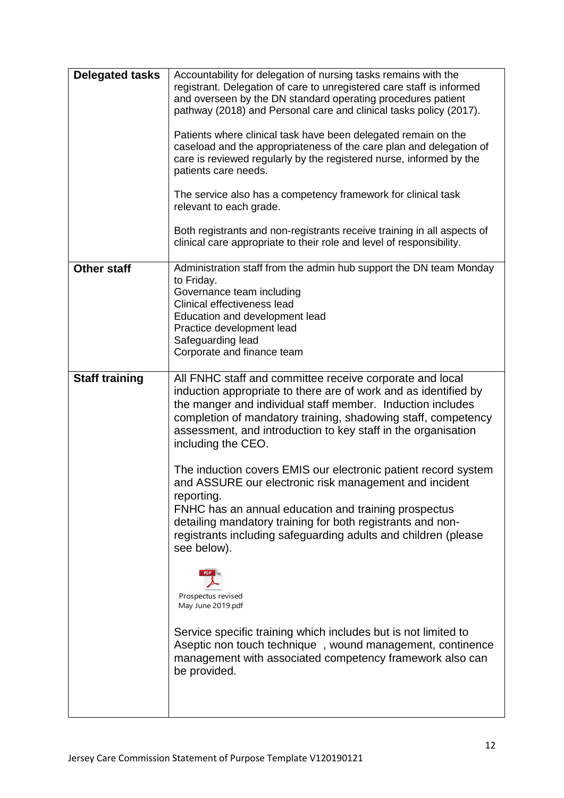| <b>Delegated tasks</b> | Accountability for delegation of nursing tasks remains with the<br>registrant. Delegation of care to unregistered care staff is informed                                                                                                                                                                                                          |
|------------------------|---------------------------------------------------------------------------------------------------------------------------------------------------------------------------------------------------------------------------------------------------------------------------------------------------------------------------------------------------|
|                        | and overseen by the DN standard operating procedures patient<br>pathway (2018) and Personal care and clinical tasks policy (2017).                                                                                                                                                                                                                |
|                        | Patients where clinical task have been delegated remain on the<br>caseload and the appropriateness of the care plan and delegation of<br>care is reviewed regularly by the registered nurse, informed by the<br>patients care needs.                                                                                                              |
|                        | The service also has a competency framework for clinical task<br>relevant to each grade.                                                                                                                                                                                                                                                          |
|                        | Both registrants and non-registrants receive training in all aspects of<br>clinical care appropriate to their role and level of responsibility.                                                                                                                                                                                                   |
| <b>Other staff</b>     | Administration staff from the admin hub support the DN team Monday<br>to Friday.                                                                                                                                                                                                                                                                  |
|                        | Governance team including<br>Clinical effectiveness lead                                                                                                                                                                                                                                                                                          |
|                        | Education and development lead                                                                                                                                                                                                                                                                                                                    |
|                        | Practice development lead<br>Safeguarding lead                                                                                                                                                                                                                                                                                                    |
|                        | Corporate and finance team                                                                                                                                                                                                                                                                                                                        |
| <b>Staff training</b>  | All FNHC staff and committee receive corporate and local<br>induction appropriate to there are of work and as identified by<br>the manger and individual staff member. Induction includes<br>completion of mandatory training, shadowing staff, competency<br>assessment, and introduction to key staff in the organisation<br>including the CEO. |
|                        | The induction covers EMIS our electronic patient record system<br>and ASSURE our electronic risk management and incident<br>reporting.                                                                                                                                                                                                            |
|                        | FNHC has an annual education and training prospectus<br>detailing mandatory training for both registrants and non-<br>registrants including safeguarding adults and children (please<br>see below).                                                                                                                                               |
|                        | Prospectus revised<br>May June 2019.pdf                                                                                                                                                                                                                                                                                                           |
|                        | Service specific training which includes but is not limited to<br>Aseptic non touch technique, wound management, continence<br>management with associated competency framework also can<br>be provided.                                                                                                                                           |
|                        |                                                                                                                                                                                                                                                                                                                                                   |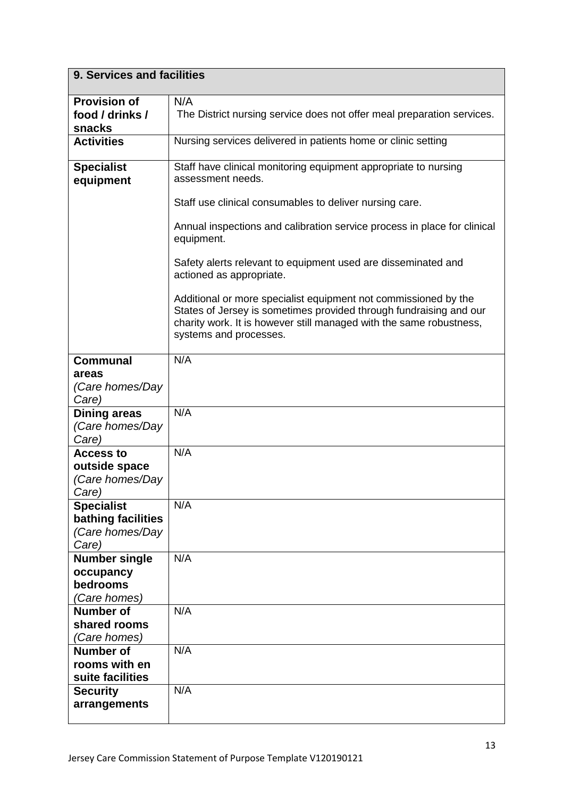| 9. Services and facilities                                          |                                                                                                                                                                                                                                        |
|---------------------------------------------------------------------|----------------------------------------------------------------------------------------------------------------------------------------------------------------------------------------------------------------------------------------|
| <b>Provision of</b><br>food / drinks /<br>snacks                    | N/A<br>The District nursing service does not offer meal preparation services.                                                                                                                                                          |
| <b>Activities</b>                                                   | Nursing services delivered in patients home or clinic setting                                                                                                                                                                          |
| <b>Specialist</b><br>equipment                                      | Staff have clinical monitoring equipment appropriate to nursing<br>assessment needs.                                                                                                                                                   |
|                                                                     | Staff use clinical consumables to deliver nursing care.                                                                                                                                                                                |
|                                                                     | Annual inspections and calibration service process in place for clinical<br>equipment.                                                                                                                                                 |
|                                                                     | Safety alerts relevant to equipment used are disseminated and<br>actioned as appropriate.                                                                                                                                              |
|                                                                     | Additional or more specialist equipment not commissioned by the<br>States of Jersey is sometimes provided through fundraising and our<br>charity work. It is however still managed with the same robustness,<br>systems and processes. |
| <b>Communal</b>                                                     | N/A                                                                                                                                                                                                                                    |
| areas<br>(Care homes/Day<br>Care)                                   |                                                                                                                                                                                                                                        |
| <b>Dining areas</b><br>(Care homes/Day<br>Care)                     | N/A                                                                                                                                                                                                                                    |
| <b>Access to</b><br>outside space<br>(Care homes/Day<br>Care)       | N/A                                                                                                                                                                                                                                    |
| <b>Specialist</b><br>bathing facilities<br>(Care homes/Day<br>Care) | N/A                                                                                                                                                                                                                                    |
| <b>Number single</b><br>occupancy<br>bedrooms<br>'Care homes)       | N/A                                                                                                                                                                                                                                    |
| <b>Number of</b><br>shared rooms<br>(Care homes)                    | N/A                                                                                                                                                                                                                                    |
| <b>Number of</b><br>rooms with en<br>suite facilities               | N/A                                                                                                                                                                                                                                    |
| <b>Security</b><br>arrangements                                     | N/A                                                                                                                                                                                                                                    |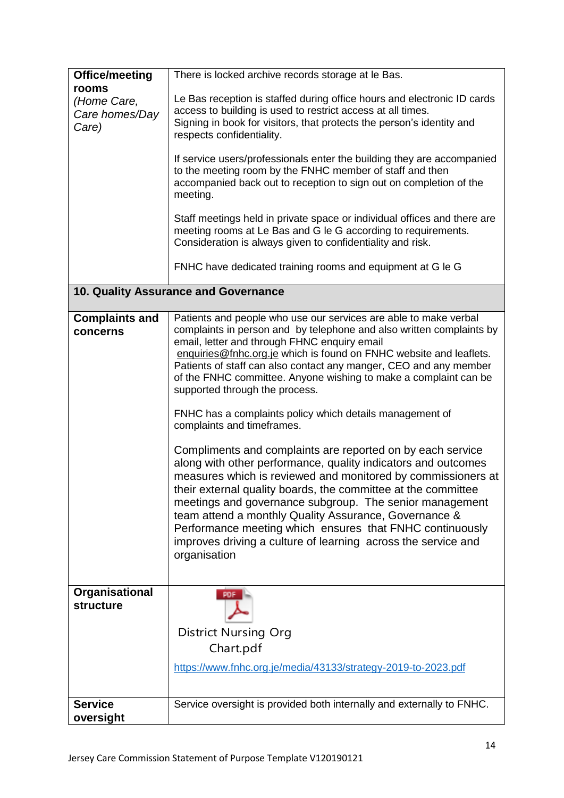| Office/meeting                                  | There is locked archive records storage at le Bas.                                                                                                                                                                                                                                                                                                                                                                                                                                                                                                                                                                                                                                                                                                                                                                                                                                                                                                                                                                                                                   |
|-------------------------------------------------|----------------------------------------------------------------------------------------------------------------------------------------------------------------------------------------------------------------------------------------------------------------------------------------------------------------------------------------------------------------------------------------------------------------------------------------------------------------------------------------------------------------------------------------------------------------------------------------------------------------------------------------------------------------------------------------------------------------------------------------------------------------------------------------------------------------------------------------------------------------------------------------------------------------------------------------------------------------------------------------------------------------------------------------------------------------------|
| rooms<br>(Home Care,<br>Care homes/Day<br>Care) | Le Bas reception is staffed during office hours and electronic ID cards<br>access to building is used to restrict access at all times.<br>Signing in book for visitors, that protects the person's identity and<br>respects confidentiality.<br>If service users/professionals enter the building they are accompanied                                                                                                                                                                                                                                                                                                                                                                                                                                                                                                                                                                                                                                                                                                                                               |
|                                                 | to the meeting room by the FNHC member of staff and then<br>accompanied back out to reception to sign out on completion of the<br>meeting.                                                                                                                                                                                                                                                                                                                                                                                                                                                                                                                                                                                                                                                                                                                                                                                                                                                                                                                           |
|                                                 | Staff meetings held in private space or individual offices and there are<br>meeting rooms at Le Bas and G le G according to requirements.<br>Consideration is always given to confidentiality and risk.                                                                                                                                                                                                                                                                                                                                                                                                                                                                                                                                                                                                                                                                                                                                                                                                                                                              |
|                                                 | FNHC have dedicated training rooms and equipment at G le G                                                                                                                                                                                                                                                                                                                                                                                                                                                                                                                                                                                                                                                                                                                                                                                                                                                                                                                                                                                                           |
|                                                 | 10. Quality Assurance and Governance                                                                                                                                                                                                                                                                                                                                                                                                                                                                                                                                                                                                                                                                                                                                                                                                                                                                                                                                                                                                                                 |
| <b>Complaints and</b><br>concerns               | Patients and people who use our services are able to make verbal<br>complaints in person and by telephone and also written complaints by<br>email, letter and through FHNC enquiry email<br>enquiries@fnhc.org.je which is found on FNHC website and leaflets.<br>Patients of staff can also contact any manger, CEO and any member<br>of the FNHC committee. Anyone wishing to make a complaint can be<br>supported through the process.<br>FNHC has a complaints policy which details management of<br>complaints and timeframes.<br>Compliments and complaints are reported on by each service<br>along with other performance, quality indicators and outcomes<br>measures which is reviewed and monitored by commissioners at<br>their external quality boards, the committee at the committee<br>meetings and governance subgroup. The senior management<br>team attend a monthly Quality Assurance, Governance &<br>Performance meeting which ensures that FNHC continuously<br>improves driving a culture of learning across the service and<br>organisation |
| Organisational<br><b>structure</b>              | PDF<br><b>District Nursing Org</b><br>Chart.pdf<br>https://www.fnhc.org.je/media/43133/strategy-2019-to-2023.pdf                                                                                                                                                                                                                                                                                                                                                                                                                                                                                                                                                                                                                                                                                                                                                                                                                                                                                                                                                     |
| <b>Service</b><br>oversight                     | Service oversight is provided both internally and externally to FNHC.                                                                                                                                                                                                                                                                                                                                                                                                                                                                                                                                                                                                                                                                                                                                                                                                                                                                                                                                                                                                |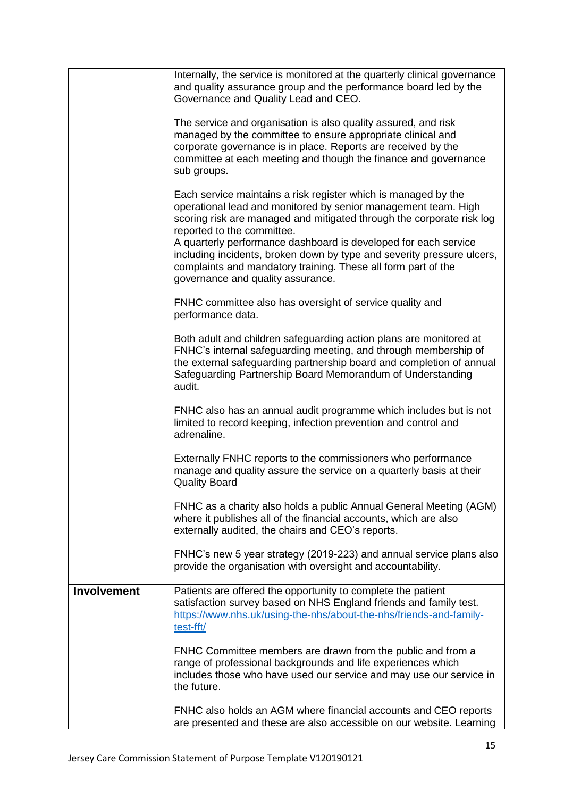|                    | Internally, the service is monitored at the quarterly clinical governance<br>and quality assurance group and the performance board led by the<br>Governance and Quality Lead and CEO.                                                                                                                      |
|--------------------|------------------------------------------------------------------------------------------------------------------------------------------------------------------------------------------------------------------------------------------------------------------------------------------------------------|
|                    | The service and organisation is also quality assured, and risk<br>managed by the committee to ensure appropriate clinical and<br>corporate governance is in place. Reports are received by the<br>committee at each meeting and though the finance and governance<br>sub groups.                           |
|                    | Each service maintains a risk register which is managed by the<br>operational lead and monitored by senior management team. High<br>scoring risk are managed and mitigated through the corporate risk log<br>reported to the committee.<br>A quarterly performance dashboard is developed for each service |
|                    | including incidents, broken down by type and severity pressure ulcers,<br>complaints and mandatory training. These all form part of the<br>governance and quality assurance.                                                                                                                               |
|                    | FNHC committee also has oversight of service quality and<br>performance data.                                                                                                                                                                                                                              |
|                    | Both adult and children safeguarding action plans are monitored at<br>FNHC's internal safeguarding meeting, and through membership of<br>the external safeguarding partnership board and completion of annual<br>Safeguarding Partnership Board Memorandum of Understanding<br>audit.                      |
|                    | FNHC also has an annual audit programme which includes but is not<br>limited to record keeping, infection prevention and control and<br>adrenaline.                                                                                                                                                        |
|                    | Externally FNHC reports to the commissioners who performance<br>manage and quality assure the service on a quarterly basis at their<br><b>Quality Board</b>                                                                                                                                                |
|                    | FNHC as a charity also holds a public Annual General Meeting (AGM)<br>where it publishes all of the financial accounts, which are also<br>externally audited, the chairs and CEO's reports.                                                                                                                |
|                    | FNHC's new 5 year strategy (2019-223) and annual service plans also<br>provide the organisation with oversight and accountability.                                                                                                                                                                         |
| <b>Involvement</b> | Patients are offered the opportunity to complete the patient<br>satisfaction survey based on NHS England friends and family test.<br>https://www.nhs.uk/using-the-nhs/about-the-nhs/friends-and-family-<br>test-fft/                                                                                       |
|                    | FNHC Committee members are drawn from the public and from a<br>range of professional backgrounds and life experiences which<br>includes those who have used our service and may use our service in<br>the future.                                                                                          |
|                    | FNHC also holds an AGM where financial accounts and CEO reports<br>are presented and these are also accessible on our website. Learning                                                                                                                                                                    |